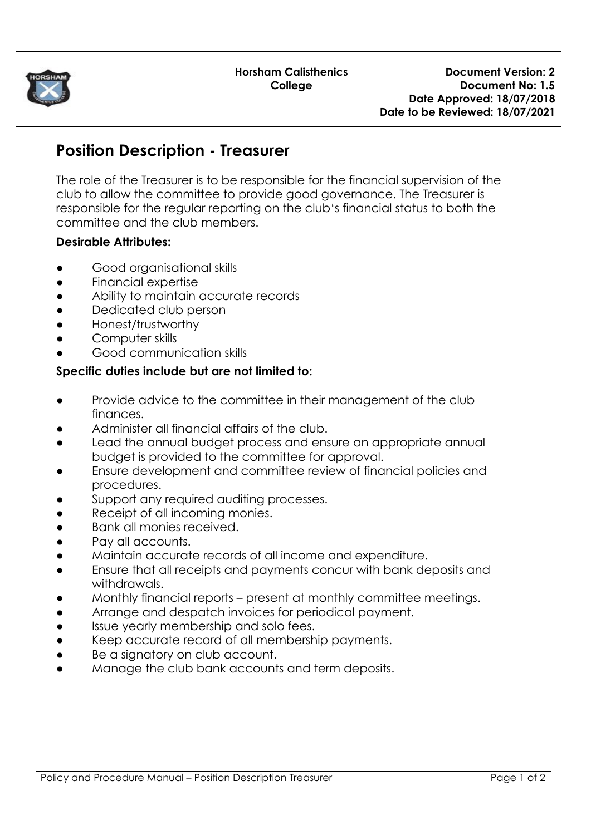

## **Position Description - Treasurer**

The role of the Treasurer is to be responsible for the financial supervision of the club to allow the committee to provide good governance. The Treasurer is responsible for the regular reporting on the club's financial status to both the committee and the club members.

## **Desirable Attributes:**

- Good organisational skills
- Financial expertise
- Ability to maintain accurate records
- Dedicated club person
- Honest/trustworthy
- Computer skills
- Good communication skills

## **Specific duties include but are not limited to:**

- Provide advice to the committee in their management of the club finances.
- Administer all financial affairs of the club.
- Lead the annual budget process and ensure an appropriate annual budget is provided to the committee for approval.
- Ensure development and committee review of financial policies and procedures.
- Support any required auditing processes.
- Receipt of all incoming monies.
- Bank all monies received.
- Pay all accounts.
- Maintain accurate records of all income and expenditure.
- Ensure that all receipts and payments concur with bank deposits and withdrawals.
- Monthly financial reports present at monthly committee meetings.
- Arrange and despatch invoices for periodical payment.
- Issue yearly membership and solo fees.
- Keep accurate record of all membership payments.
- Be a signatory on club account.
- Manage the club bank accounts and term deposits.